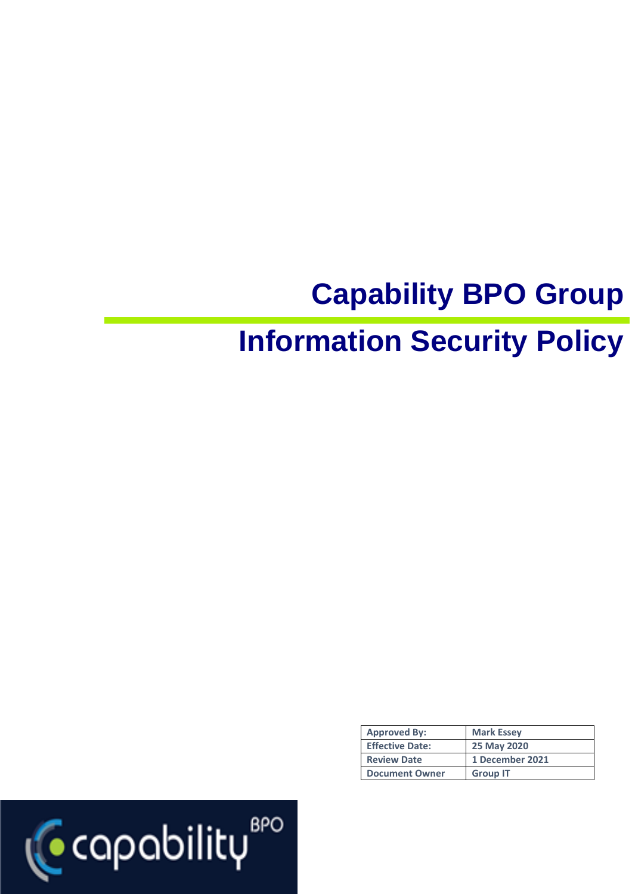# **Capability BPO Group Information Security Policy**

| <b>Approved By:</b>    | <b>Mark Essey</b> |
|------------------------|-------------------|
| <b>Effective Date:</b> | 25 May 2020       |
| <b>Review Date</b>     | 1 December 2021   |
| <b>Document Owner</b>  | <b>Group IT</b>   |

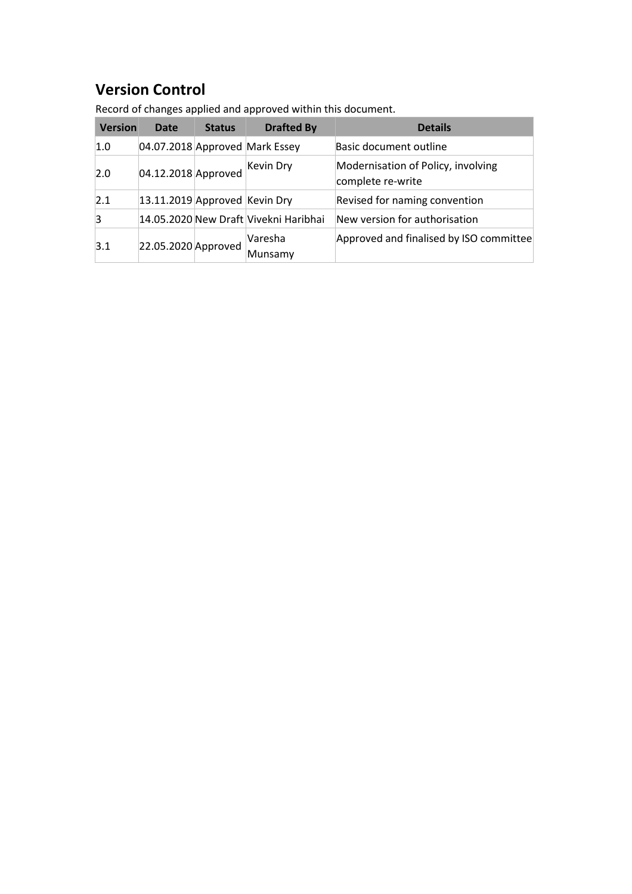## **Version Control**

| <b>Version</b> | <b>Date</b>                   | <b>Status</b> | <b>Drafted By</b>                     | <b>Details</b>                                          |
|----------------|-------------------------------|---------------|---------------------------------------|---------------------------------------------------------|
| 1.0            |                               |               | 04.07.2018 Approved Mark Essey        | Basic document outline                                  |
| 2.0            | 04.12.2018 Approved           |               | Kevin Dry                             | Modernisation of Policy, involving<br>complete re-write |
| 2.1            | 13.11.2019 Approved Kevin Dry |               |                                       | Revised for naming convention                           |
| 3              |                               |               | 14.05.2020 New Draft Vivekni Haribhai | New version for authorisation                           |
| 3.1            | 22.05.2020 Approved           |               | Varesha<br>Munsamy                    | Approved and finalised by ISO committee                 |

Record of changes applied and approved within this document.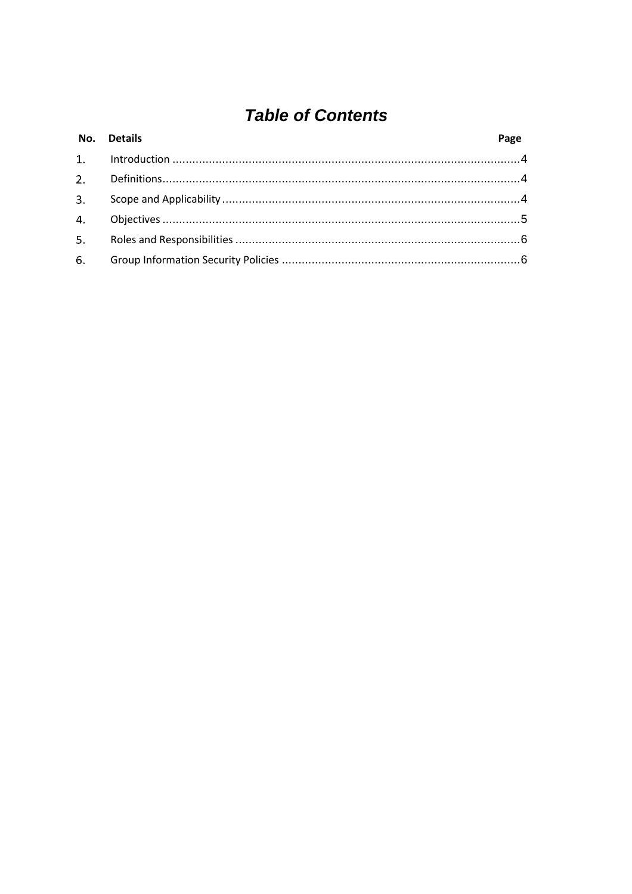## **Table of Contents**

| No. Details | Page |
|-------------|------|
|             |      |
|             |      |
|             |      |
|             |      |
|             |      |
|             |      |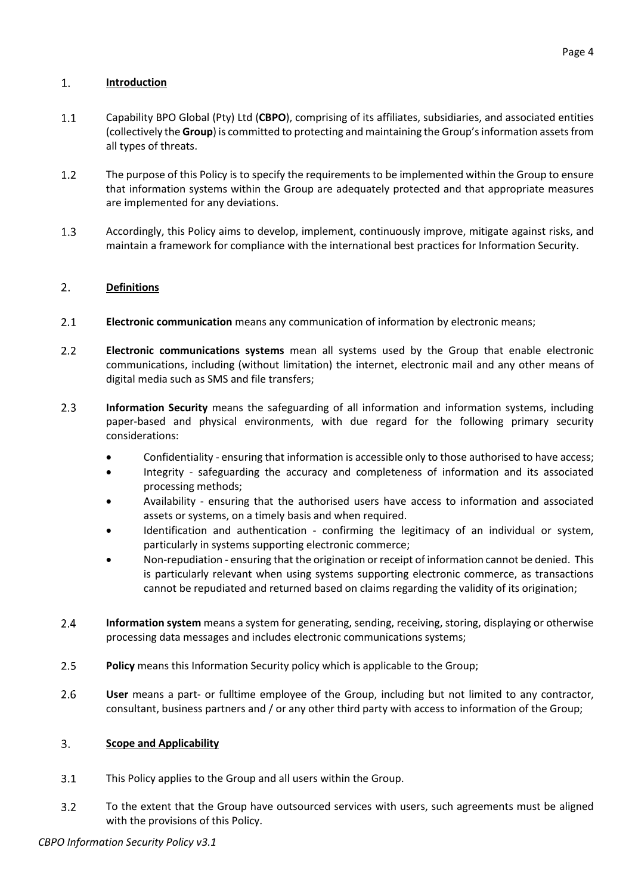#### <span id="page-3-0"></span> $1.$ **Introduction**

- $1.1$ Capability BPO Global (Pty) Ltd (**CBPO**), comprising of its affiliates, subsidiaries, and associated entities (collectively the **Group**) is committed to protecting and maintaining the Group'sinformation assets from all types of threats.
- $1.2$ The purpose of this Policy is to specify the requirements to be implemented within the Group to ensure that information systems within the Group are adequately protected and that appropriate measures are implemented for any deviations.
- $1.3$ Accordingly, this Policy aims to develop, implement, continuously improve, mitigate against risks, and maintain a framework for compliance with the international best practices for Information Security.

#### <span id="page-3-1"></span> $\overline{2}$ . **Definitions**

- $2.1$ **Electronic communication** means any communication of information by electronic means;
- $2.2$ **Electronic communications systems** mean all systems used by the Group that enable electronic communications, including (without limitation) the internet, electronic mail and any other means of digital media such as SMS and file transfers;
- $2.3$ **Information Security** means the safeguarding of all information and information systems, including paper-based and physical environments, with due regard for the following primary security considerations:
	- Confidentiality ensuring that information is accessible only to those authorised to have access;
	- Integrity safeguarding the accuracy and completeness of information and its associated processing methods;
	- Availability ensuring that the authorised users have access to information and associated assets or systems, on a timely basis and when required.
	- Identification and authentication confirming the legitimacy of an individual or system, particularly in systems supporting electronic commerce;
	- Non-repudiation ensuring that the origination or receipt of information cannot be denied. This is particularly relevant when using systems supporting electronic commerce, as transactions cannot be repudiated and returned based on claims regarding the validity of its origination;
- $2.4$ **Information system** means a system for generating, sending, receiving, storing, displaying or otherwise processing data messages and includes electronic communications systems;
- $2.5$ **Policy** means this Information Security policy which is applicable to the Group;
- $2.6$ **User** means a part- or fulltime employee of the Group, including but not limited to any contractor, consultant, business partners and / or any other third party with access to information of the Group;

#### <span id="page-3-2"></span> $3.$ **Scope and Applicability**

- $3.1$ This Policy applies to the Group and all users within the Group.
- To the extent that the Group have outsourced services with users, such agreements must be aligned  $3.2$ with the provisions of this Policy.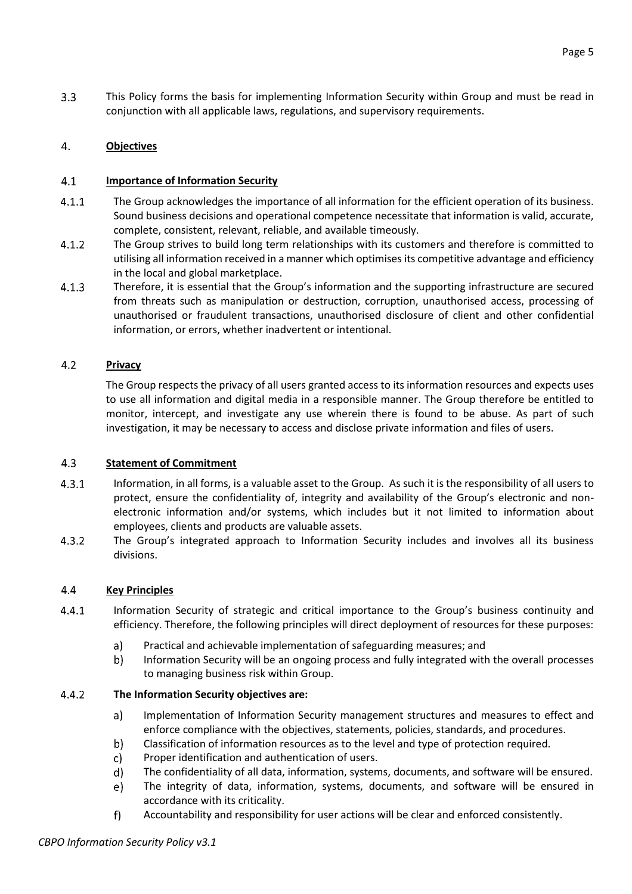$3.3$ This Policy forms the basis for implementing Information Security within Group and must be read in conjunction with all applicable laws, regulations, and supervisory requirements.

#### <span id="page-4-0"></span>4. **Objectives**

#### $4.1$ **Importance of Information Security**

- $4.1.1$ The Group acknowledges the importance of all information for the efficient operation of its business. Sound business decisions and operational competence necessitate that information is valid, accurate, complete, consistent, relevant, reliable, and available timeously.
- $4.1.2$ The Group strives to build long term relationships with its customers and therefore is committed to utilising all information received in a manner which optimises its competitive advantage and efficiency in the local and global marketplace.
- $4.1.3$ Therefore, it is essential that the Group's information and the supporting infrastructure are secured from threats such as manipulation or destruction, corruption, unauthorised access, processing of unauthorised or fraudulent transactions, unauthorised disclosure of client and other confidential information, or errors, whether inadvertent or intentional.

#### $4.2$ **Privacy**

The Group respects the privacy of all users granted access to its information resources and expects uses to use all information and digital media in a responsible manner. The Group therefore be entitled to monitor, intercept, and investigate any use wherein there is found to be abuse. As part of such investigation, it may be necessary to access and disclose private information and files of users.

#### $4.3$ **Statement of Commitment**

- $4.3.1$ Information, in all forms, is a valuable asset to the Group. As such it is the responsibility of all users to protect, ensure the confidentiality of, integrity and availability of the Group's electronic and nonelectronic information and/or systems, which includes but it not limited to information about employees, clients and products are valuable assets.
- $4.3.2$ The Group's integrated approach to Information Security includes and involves all its business divisions.

#### 4.4 **Key Principles**

- $4.4.1$ Information Security of strategic and critical importance to the Group's business continuity and efficiency. Therefore, the following principles will direct deployment of resources for these purposes:
	- Practical and achievable implementation of safeguarding measures; and a)
	- b) Information Security will be an ongoing process and fully integrated with the overall processes to managing business risk within Group.

#### $4.4.2$ **The Information Security objectives are:**

- Implementation of Information Security management structures and measures to effect and a) enforce compliance with the objectives, statements, policies, standards, and procedures.
- b) Classification of information resources as to the level and type of protection required.
- c) Proper identification and authentication of users.
- d) The confidentiality of all data, information, systems, documents, and software will be ensured.
- The integrity of data, information, systems, documents, and software will be ensured in e) accordance with its criticality.
- $f$ Accountability and responsibility for user actions will be clear and enforced consistently.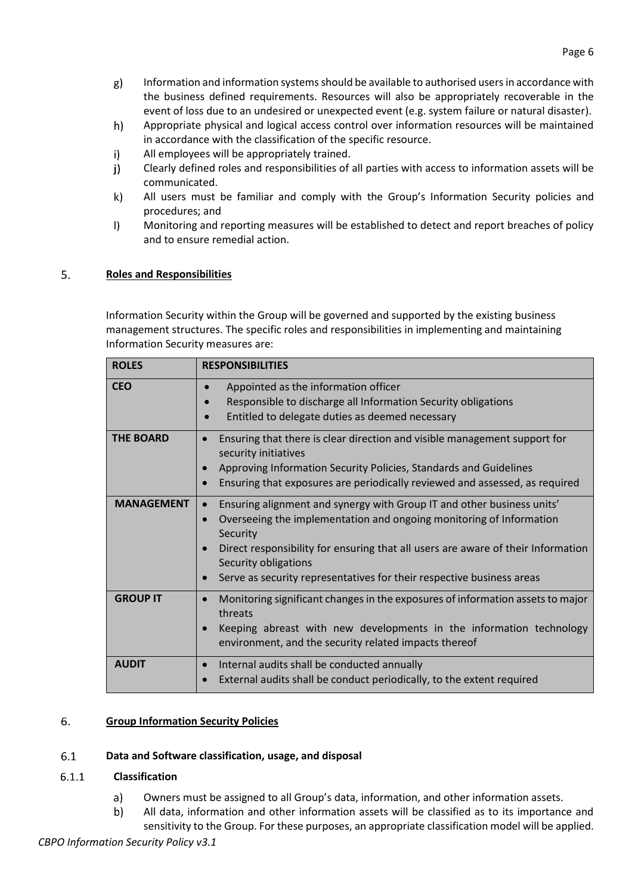- $g)$ Information and information systems should be available to authorised users in accordance with the business defined requirements. Resources will also be appropriately recoverable in the event of loss due to an undesired or unexpected event (e.g. system failure or natural disaster).
- $h)$ Appropriate physical and logical access control over information resources will be maintained in accordance with the classification of the specific resource.
- $\mathsf{i}$ All employees will be appropriately trained.
- Clearly defined roles and responsibilities of all parties with access to information assets will be  $j)$ communicated.
- k) All users must be familiar and comply with the Group's Information Security policies and procedures; and
- $\vert$ Monitoring and reporting measures will be established to detect and report breaches of policy and to ensure remedial action.

#### $5<sub>1</sub>$ **Roles and Responsibilities**

<span id="page-5-0"></span>Information Security within the Group will be governed and supported by the existing business management structures. The specific roles and responsibilities in implementing and maintaining Information Security measures are:

| <b>ROLES</b>      | <b>RESPONSIBILITIES</b>                                                                                                                                                                                                                                                                                                                        |
|-------------------|------------------------------------------------------------------------------------------------------------------------------------------------------------------------------------------------------------------------------------------------------------------------------------------------------------------------------------------------|
| <b>CEO</b>        | Appointed as the information officer<br>$\bullet$<br>Responsible to discharge all Information Security obligations<br>$\bullet$<br>Entitled to delegate duties as deemed necessary<br>$\bullet$                                                                                                                                                |
| <b>THE BOARD</b>  | Ensuring that there is clear direction and visible management support for<br>security initiatives<br>Approving Information Security Policies, Standards and Guidelines<br>Ensuring that exposures are periodically reviewed and assessed, as required                                                                                          |
| <b>MANAGEMENT</b> | Ensuring alignment and synergy with Group IT and other business units'<br>Overseeing the implementation and ongoing monitoring of Information<br>Security<br>Direct responsibility for ensuring that all users are aware of their Information<br>Security obligations<br>Serve as security representatives for their respective business areas |
| <b>GROUP IT</b>   | Monitoring significant changes in the exposures of information assets to major<br>threats<br>Keeping abreast with new developments in the information technology<br>environment, and the security related impacts thereof                                                                                                                      |
| <b>AUDIT</b>      | Internal audits shall be conducted annually<br>$\bullet$<br>External audits shall be conduct periodically, to the extent required                                                                                                                                                                                                              |

#### <span id="page-5-1"></span>6. **Group Information Security Policies**

#### $6.1$ **Data and Software classification, usage, and disposal**

#### $6.1.1$ **Classification**

- $a)$ Owners must be assigned to all Group's data, information, and other information assets.
- b) All data, information and other information assets will be classified as to its importance and sensitivity to the Group. For these purposes, an appropriate classification model will be applied.

Page 6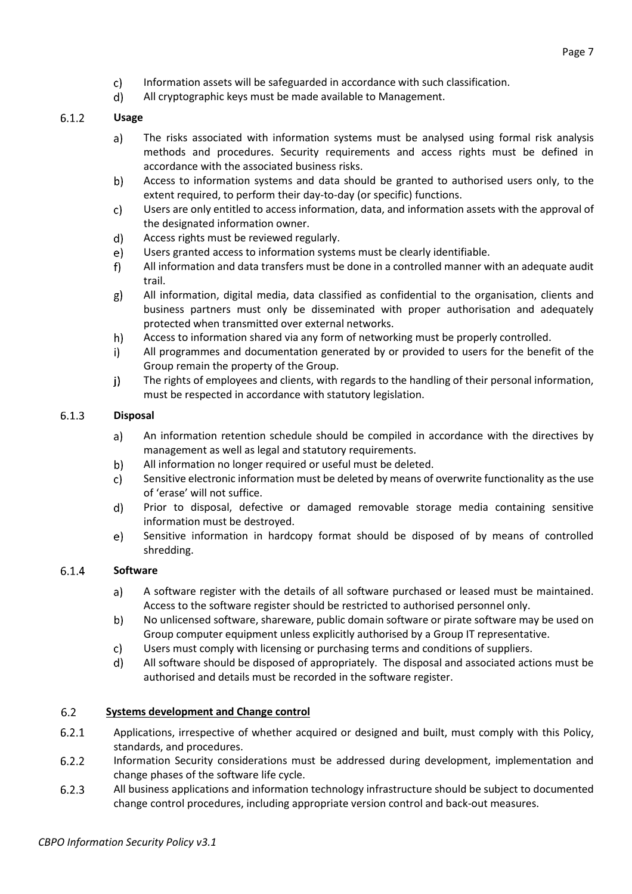- c) Information assets will be safeguarded in accordance with such classification.
- d) All cryptographic keys must be made available to Management.

#### $6.1.2$ **Usage**

- $a)$ The risks associated with information systems must be analysed using formal risk analysis methods and procedures. Security requirements and access rights must be defined in accordance with the associated business risks.
- b) Access to information systems and data should be granted to authorised users only, to the extent required, to perform their day-to-day (or specific) functions.
- c) Users are only entitled to access information, data, and information assets with the approval of the designated information owner.
- $\mathsf{d}$ Access rights must be reviewed regularly.
- e) Users granted access to information systems must be clearly identifiable.
- $f$ All information and data transfers must be done in a controlled manner with an adequate audit trail.
- All information, digital media, data classified as confidential to the organisation, clients and  $g)$ business partners must only be disseminated with proper authorisation and adequately protected when transmitted over external networks.
- h) Access to information shared via any form of networking must be properly controlled.
- $i)$ All programmes and documentation generated by or provided to users for the benefit of the Group remain the property of the Group.
- i) The rights of employees and clients, with regards to the handling of their personal information, must be respected in accordance with statutory legislation.

#### $6.1.3$ **Disposal**

- An information retention schedule should be compiled in accordance with the directives by a) management as well as legal and statutory requirements.
- b) All information no longer required or useful must be deleted.
- c). Sensitive electronic information must be deleted by means of overwrite functionality as the use of 'erase' will not suffice.
- Prior to disposal, defective or damaged removable storage media containing sensitive d) information must be destroyed.
- e) Sensitive information in hardcopy format should be disposed of by means of controlled shredding.

#### 6.1.4 **Software**

- A software register with the details of all software purchased or leased must be maintained. a) Access to the software register should be restricted to authorised personnel only.
- b) No unlicensed software, shareware, public domain software or pirate software may be used on Group computer equipment unless explicitly authorised by a Group IT representative.
- $\mathsf{c}$ Users must comply with licensing or purchasing terms and conditions of suppliers.
- All software should be disposed of appropriately. The disposal and associated actions must be d) authorised and details must be recorded in the software register.

#### $6.2$ **Systems development and Change control**

- $6.2.1$ Applications, irrespective of whether acquired or designed and built, must comply with this Policy, standards, and procedures.
- $6.2.2$ Information Security considerations must be addressed during development, implementation and change phases of the software life cycle.
- $6.2.3$ All business applications and information technology infrastructure should be subject to documented change control procedures, including appropriate version control and back-out measures.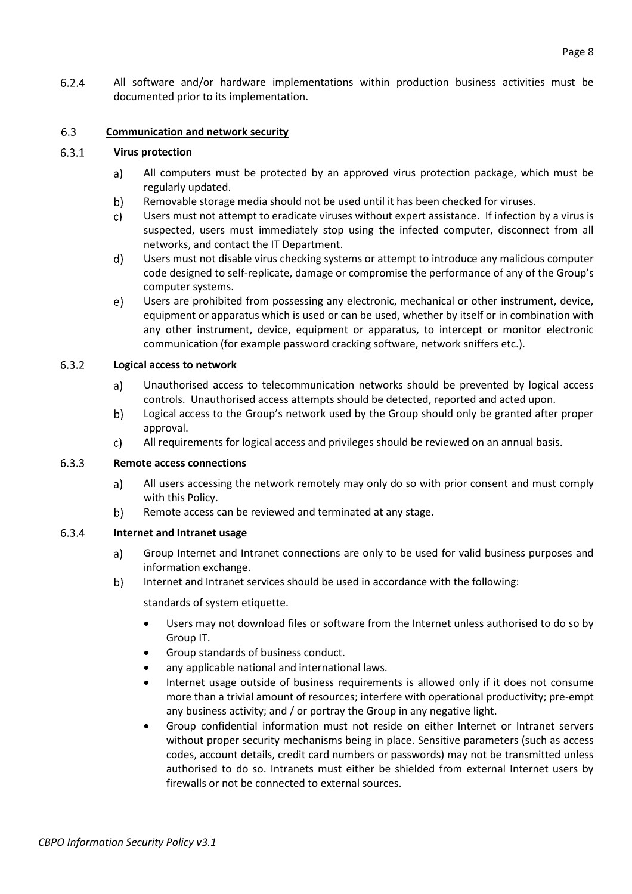$6.2.4$ All software and/or hardware implementations within production business activities must be documented prior to its implementation.

#### 6.3 **Communication and network security**

#### $6.3.1$ **Virus protection**

- All computers must be protected by an approved virus protection package, which must be a) regularly updated.
- b) Removable storage media should not be used until it has been checked for viruses.
- c) Users must not attempt to eradicate viruses without expert assistance. If infection by a virus is suspected, users must immediately stop using the infected computer, disconnect from all networks, and contact the IT Department.
- d) Users must not disable virus checking systems or attempt to introduce any malicious computer code designed to self-replicate, damage or compromise the performance of any of the Group's computer systems.
- $e)$ Users are prohibited from possessing any electronic, mechanical or other instrument, device, equipment or apparatus which is used or can be used, whether by itself or in combination with any other instrument, device, equipment or apparatus, to intercept or monitor electronic communication (for example password cracking software, network sniffers etc.).

#### $6.3.2$ **Logical access to network**

- Unauthorised access to telecommunication networks should be prevented by logical access a) controls. Unauthorised access attempts should be detected, reported and acted upon.
- b) Logical access to the Group's network used by the Group should only be granted after proper approval.
- All requirements for logical access and privileges should be reviewed on an annual basis. c)

#### $6.3.3$ **Remote access connections**

- All users accessing the network remotely may only do so with prior consent and must comply a) with this Policy.
- b) Remote access can be reviewed and terminated at any stage.

#### 6.3.4 **Internet and Intranet usage**

- a) Group Internet and Intranet connections are only to be used for valid business purposes and information exchange.
- b) Internet and Intranet services should be used in accordance with the following:

standards of system etiquette.

- Users may not download files or software from the Internet unless authorised to do so by Group IT.
- Group standards of business conduct.
- any applicable national and international laws.
- Internet usage outside of business requirements is allowed only if it does not consume more than a trivial amount of resources; interfere with operational productivity; pre-empt any business activity; and / or portray the Group in any negative light.
- Group confidential information must not reside on either Internet or Intranet servers without proper security mechanisms being in place. Sensitive parameters (such as access codes, account details, credit card numbers or passwords) may not be transmitted unless authorised to do so. Intranets must either be shielded from external Internet users by firewalls or not be connected to external sources.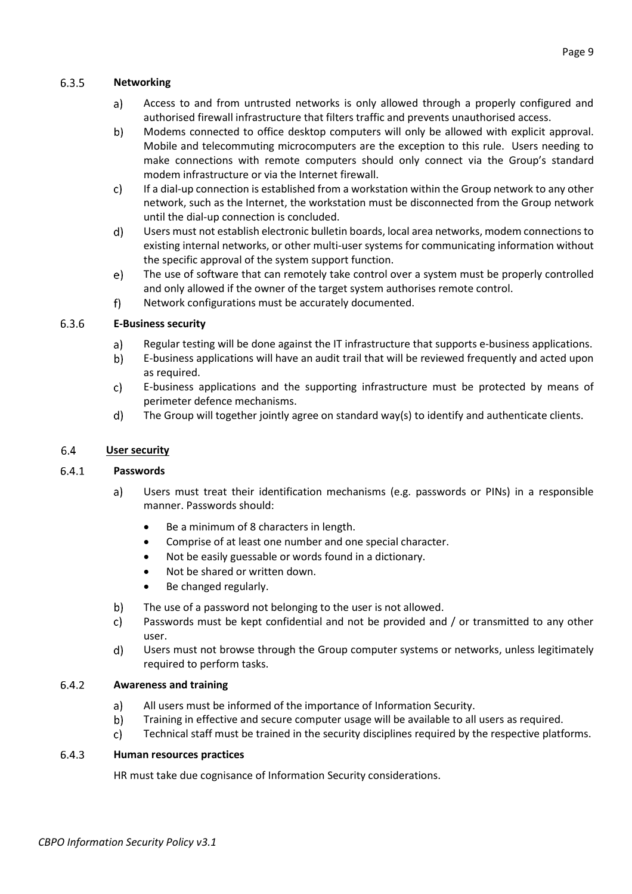#### $6.3.5$ **Networking**

- Access to and from untrusted networks is only allowed through a properly configured and a) authorised firewall infrastructure that filters traffic and prevents unauthorised access.
- b) Modems connected to office desktop computers will only be allowed with explicit approval. Mobile and telecommuting microcomputers are the exception to this rule. Users needing to make connections with remote computers should only connect via the Group's standard modem infrastructure or via the Internet firewall.
- c) If a dial-up connection is established from a workstation within the Group network to any other network, such as the Internet, the workstation must be disconnected from the Group network until the dial-up connection is concluded.
- $\mathsf{d}$ Users must not establish electronic bulletin boards, local area networks, modem connections to existing internal networks, or other multi-user systems for communicating information without the specific approval of the system support function.
- The use of software that can remotely take control over a system must be properly controlled e) and only allowed if the owner of the target system authorises remote control.
- $f)$ Network configurations must be accurately documented.

#### 6.3.6 **E-Business security**

- Regular testing will be done against the IT infrastructure that supports e-business applications. a)
- b) E-business applications will have an audit trail that will be reviewed frequently and acted upon as required.
- c) E-business applications and the supporting infrastructure must be protected by means of perimeter defence mechanisms.
- d) The Group will together jointly agree on standard way(s) to identify and authenticate clients.

#### 6.4 **User security**

#### $6.4.1$ **Passwords**

- a) Users must treat their identification mechanisms (e.g. passwords or PINs) in a responsible manner. Passwords should:
	- Be a minimum of 8 characters in length.
	- Comprise of at least one number and one special character.
	- Not be easily guessable or words found in a dictionary.
	- Not be shared or written down.
	- Be changed regularly.
- b) The use of a password not belonging to the user is not allowed.
- Passwords must be kept confidential and not be provided and / or transmitted to any other c) user.
- d) Users must not browse through the Group computer systems or networks, unless legitimately required to perform tasks.

#### $6.4.2$ **Awareness and training**

- a) All users must be informed of the importance of Information Security.
- b) Training in effective and secure computer usage will be available to all users as required.
- c). Technical staff must be trained in the security disciplines required by the respective platforms.

#### 6.4.3 **Human resources practices**

HR must take due cognisance of Information Security considerations.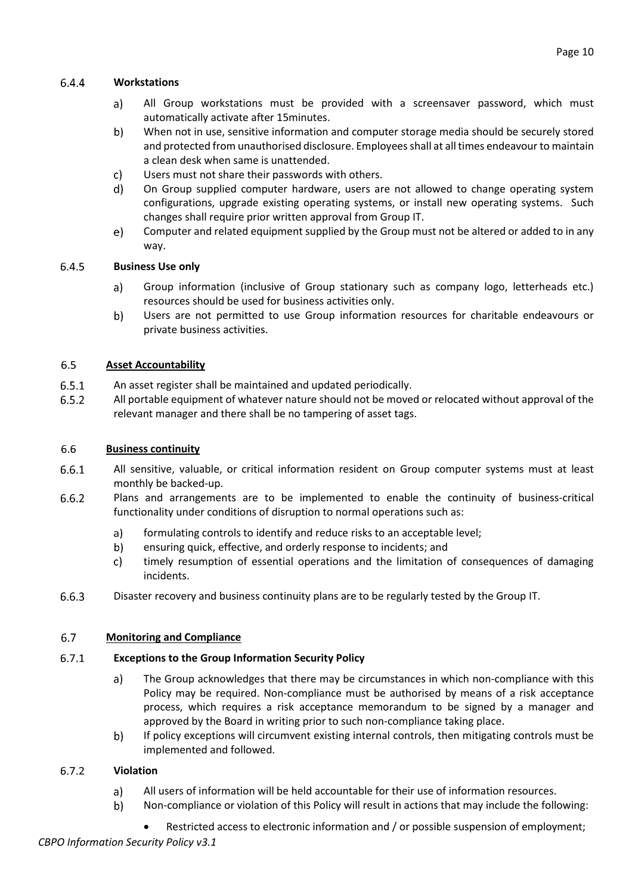#### $6.4.4$ **Workstations**

- a) All Group workstations must be provided with a screensaver password, which must automatically activate after 15minutes.
- b) When not in use, sensitive information and computer storage media should be securely stored and protected from unauthorised disclosure. Employees shall at all times endeavour to maintain a clean desk when same is unattended.
- c) Users must not share their passwords with others.
- d) On Group supplied computer hardware, users are not allowed to change operating system configurations, upgrade existing operating systems, or install new operating systems. Such changes shall require prior written approval from Group IT.
- $e)$ Computer and related equipment supplied by the Group must not be altered or added to in any way.

#### 6.4.5 **Business Use only**

- Group information (inclusive of Group stationary such as company logo, letterheads etc.) a) resources should be used for business activities only.
- b) Users are not permitted to use Group information resources for charitable endeavours or private business activities.

#### 6.5 **Asset Accountability**

- $6.5.1$ An asset register shall be maintained and updated periodically.
- $6.5.2$ All portable equipment of whatever nature should not be moved or relocated without approval of the relevant manager and there shall be no tampering of asset tags.

#### 6.6 **Business continuity**

- 6.6.1 All sensitive, valuable, or critical information resident on Group computer systems must at least monthly be backed-up.
- $6.6.2$ Plans and arrangements are to be implemented to enable the continuity of business-critical functionality under conditions of disruption to normal operations such as:
	- a) formulating controls to identify and reduce risks to an acceptable level;
	- b) ensuring quick, effective, and orderly response to incidents; and
	- c) timely resumption of essential operations and the limitation of consequences of damaging incidents.
- $6.6.3$ Disaster recovery and business continuity plans are to be regularly tested by the Group IT.

#### 6.7 **Monitoring and Compliance**

#### $6.7.1$ **Exceptions to the Group Information Security Policy**

- The Group acknowledges that there may be circumstances in which non-compliance with this  $a)$ Policy may be required. Non-compliance must be authorised by means of a risk acceptance process, which requires a risk acceptance memorandum to be signed by a manager and approved by the Board in writing prior to such non-compliance taking place.
- b) If policy exceptions will circumvent existing internal controls, then mitigating controls must be implemented and followed.

#### $6.7.2$ **Violation**

- a) All users of information will be held accountable for their use of information resources.
- b) Non-compliance or violation of this Policy will result in actions that may include the following:
	- Restricted access to electronic information and / or possible suspension of employment;